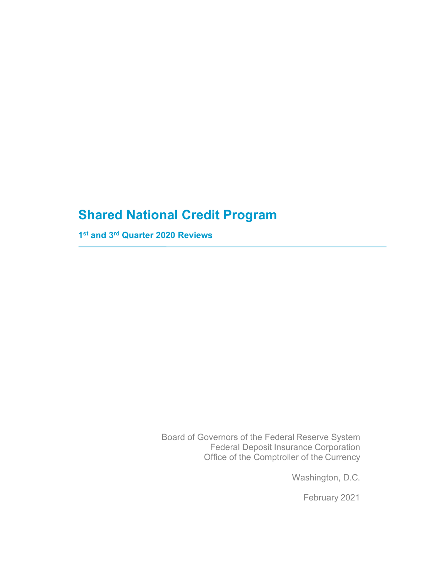# **Shared National Credit Program**

**1st and 3rd Quarter 2020 Reviews**

Board of Governors of the Federal Reserve System Federal Deposit Insurance Corporation Office of the Comptroller of the Currency

Washington, D.C.

February 2021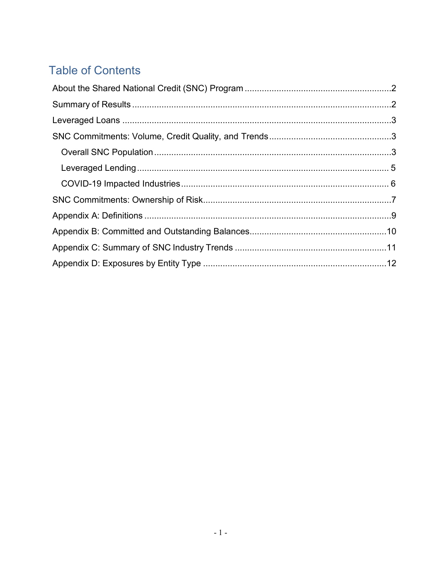# **Table of Contents**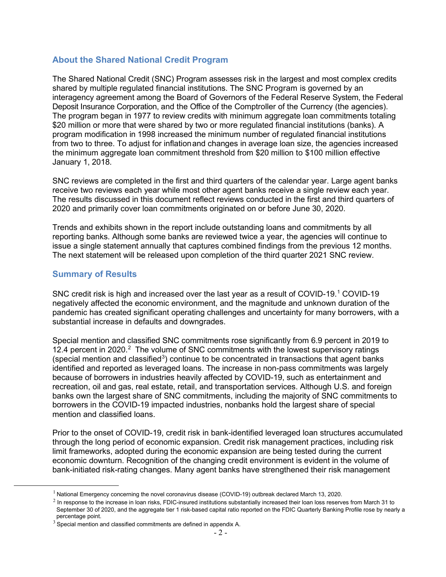### **About the Shared National Credit Program**

The Shared National Credit (SNC) Program assesses risk in the largest and most complex credits shared by multiple regulated financial institutions. The SNC Program is governed by an interagency agreement among the Board of Governors of the Federal Reserve System, the Federal Deposit Insurance Corporation, and the Office of the Comptroller of the Currency (the agencies). The program began in 1977 to review credits with minimum aggregate loan commitments totaling \$20 million or more that were shared by two or more regulated financial institutions (banks). A program modification in 1998 increased the minimum number of regulated financial institutions from two to three. To adjust for inflationand changes in average loan size, the agencies increased the minimum aggregate loan commitment threshold from \$20 million to \$100 million effective January 1, 2018.

SNC reviews are completed in the first and third quarters of the calendar year. Large agent banks receive two reviews each year while most other agent banks receive a single review each year. The results discussed in this document reflect reviews conducted in the first and third quarters of 2020 and primarily cover loan commitments originated on or before June 30, 2020.

Trends and exhibits shown in the report include outstanding loans and commitments by all reporting banks. Although some banks are reviewed twice a year, the agencies will continue to issue a single statement annually that captures combined findings from the previous 12 months. The next statement will be released upon completion of the third quarter 2021 SNC review.

#### <span id="page-2-0"></span>**Summary of Results**

SNC credit risk is high and increased over the last year as a result of COVID-[1](#page-2-1)9.<sup>1</sup> COVID-19 negatively affected the economic environment, and the magnitude and unknown duration of the pandemic has created significant operating challenges and uncertainty for many borrowers, with a substantial increase in defaults and downgrades.

Special mention and classified SNC commitments rose significantly from 6.9 percent in 2019 to 1[2](#page-2-2).4 percent in 2020.<sup>2</sup> The volume of SNC commitments with the lowest supervisory ratings (special mention and classified<sup>[3](#page-2-3)</sup>) continue to be concentrated in transactions that agent banks identified and reported as leveraged loans. The increase in non-pass commitments was largely because of borrowers in industries heavily affected by COVID-19, such as entertainment and recreation, oil and gas, real estate, retail, and transportation services. Although U.S. and foreign banks own the largest share of SNC commitments, including the majority of SNC commitments to borrowers in the COVID-19 impacted industries, nonbanks hold the largest share of special mention and classified loans.

Prior to the onset of COVID-19, credit risk in bank-identified leveraged loan structures accumulated through the long period of economic expansion. Credit risk management practices, including risk limit frameworks, adopted during the economic expansion are being tested during the current economic downturn. Recognition of the changing credit environment is evident in the volume of bank-initiated risk-rating changes. Many agent banks have strengthened their risk management

<span id="page-2-1"></span><sup>&</sup>lt;sup>1</sup> National Emergency concerning the novel coronavirus disease (COVID-19) outbreak declared March 13, 2020.

<span id="page-2-2"></span> $<sup>2</sup>$  In response to the increase in loan risks, FDIC-insured institutions substantially increased their loan loss reserves from March 31 to</sup> September 30 of 2020, and the aggregate tier 1 risk-based capital ratio reported on the FDIC Quarterly Banking Profile rose by nearly a percentage point.

<span id="page-2-3"></span> $3\overline{3}$  Special mention and classified commitments are defined in appendix A.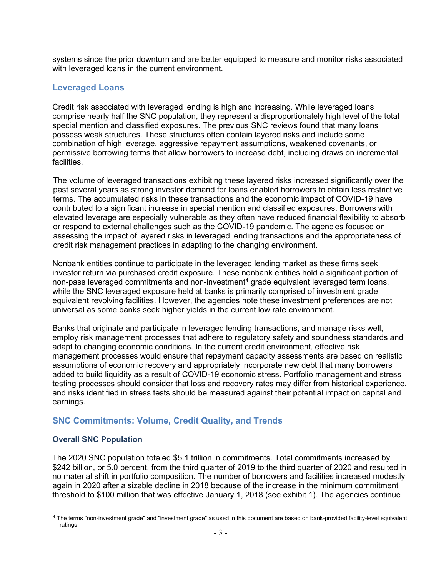systems since the prior downturn and are better equipped to measure and monitor risks associated with leveraged loans in the current environment.

#### <span id="page-3-0"></span>**Leveraged Loans**

Credit risk associated with leveraged lending is high and increasing. While leveraged loans comprise nearly half the SNC population, they represent a disproportionately high level of the total special mention and classified exposures. The previous SNC reviews found that many loans possess weak structures. These structures often contain layered risks and include some combination of high leverage, aggressive repayment assumptions, weakened covenants, or permissive borrowing terms that allow borrowers to increase debt, including draws on incremental facilities.

The volume of leveraged transactions exhibiting these layered risks increased significantly over the past several years as strong investor demand for loans enabled borrowers to obtain less restrictive terms. The accumulated risks in these transactions and the economic impact of COVID-19 have contributed to a significant increase in special mention and classified exposures. Borrowers with elevated leverage are especially vulnerable as they often have reduced financial flexibility to absorb or respond to external challenges such as the COVID-19 pandemic. The agencies focused on assessing the impact of layered risks in leveraged lending transactions and the appropriateness of credit risk management practices in adapting to the changing environment.

Nonbank entities continue to participate in the leveraged lending market as these firms seek investor return via purchased credit exposure. These nonbank entities hold a significant portion of non-pass leveraged commitments and non-investment<sup>[4](#page-3-2)</sup> grade equivalent leveraged term loans, while the SNC leveraged exposure held at banks is primarily comprised of investment grade equivalent revolving facilities. However, the agencies note these investment preferences are not universal as some banks seek higher yields in the current low rate environment.

Banks that originate and participate in leveraged lending transactions, and manage risks well, employ risk management processes that adhere to regulatory safety and soundness standards and adapt to changing economic conditions. In the current credit environment, effective risk management processes would ensure that repayment capacity assessments are based on realistic assumptions of economic recovery and appropriately incorporate new debt that many borrowers added to build liquidity as a result of COVID-19 economic stress. Portfolio management and stress testing processes should consider that loss and recovery rates may differ from historical experience, and risks identified in stress tests should be measured against their potential impact on capital and earnings.

### <span id="page-3-1"></span>**SNC Commitments: Volume, Credit Quality, and Trends**

#### **Overall SNC Population**

The 2020 SNC population totaled \$5.1 trillion in commitments. Total commitments increased by \$242 billion, or 5.0 percent, from the third quarter of 2019 to the third quarter of 2020 and resulted in no material shift in portfolio composition. The number of borrowers and facilities increased modestly again in 2020 after a sizable decline in 2018 because of the increase in the minimum commitment threshold to \$100 million that was effective January 1, 2018 (see exhibit 1). The agencies continue

<span id="page-3-2"></span><sup>4</sup> The terms "non-investment grade" and "investment grade" as used in this document are based on bank-provided facility-level equivalent ratings.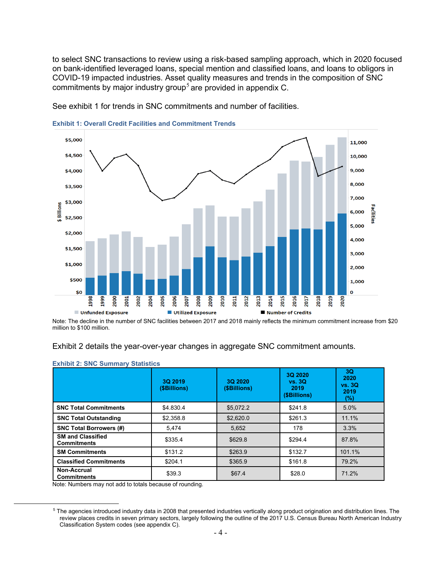to select SNC transactions to review using a risk-based sampling approach, which in 2020 focused on bank-identified leveraged loans, special mention and classified loans, and loans to obligors in COVID-19 impacted industries. Asset quality measures and trends in the composition of SNC commitments by major industry group<sup>[5](#page-4-0)</sup> are provided in appendix C.



See exhibit 1 for trends in SNC commitments and number of facilities.

**Exhibit 1: Overall Credit Facilities and Commitment Trends**

Note: The decline in the number of SNC facilities between 2017 and 2018 mainly reflects the minimum commitment increase from \$20 million to \$100 million.

#### Exhibit 2 details the year-over-year changes in aggregate SNC commitment amounts.

|                                                                                              | 3Q 2019<br>(\$Billions) | 3Q 2020<br>(\$Billions) | 3Q 2020<br>vs. 3Q<br>2019<br>(\$Billions) | 3Q<br>2020<br><b>vs. 3Q</b><br>2019<br>(%) |
|----------------------------------------------------------------------------------------------|-------------------------|-------------------------|-------------------------------------------|--------------------------------------------|
| <b>SNC Total Commitments</b>                                                                 | \$4.830.4               | \$5.072.2               | \$241.8                                   | 5.0%                                       |
| <b>SNC Total Outstanding</b>                                                                 | \$2,358.8               | \$2,620.0               | \$261.3                                   | 11.1%                                      |
| <b>SNC Total Borrowers (#)</b>                                                               | 5.474                   | 5.652                   | 178                                       | 3.3%                                       |
| <b>SM and Classified</b><br><b>Commitments</b>                                               | \$335.4                 | \$629.8                 | \$294.4                                   | 87.8%                                      |
| <b>SM Commitments</b>                                                                        | \$131.2                 | \$263.9                 | \$132.7                                   | 101.1%                                     |
| <b>Classified Commitments</b>                                                                | \$204.1                 | \$365.9                 | \$161.8                                   | 79.2%                                      |
| Non-Accrual<br><b>Commitments</b><br>Note: Numbers may not add to totals because of rounding | \$39.3                  | \$67.4                  | \$28.0                                    | 71.2%                                      |

#### **Exhibit 2: SNC Summary Statistics**

Note: Numbers may not add to totals because of rounding.

<span id="page-4-0"></span><sup>5</sup> The agencies introduced industry data in 2008 that presented industries vertically along product origination and distribution lines. The review places credits in seven primary sectors, largely following the outline of the 2017 U.S. Census Bureau North American Industry Classification System codes (see appendix C).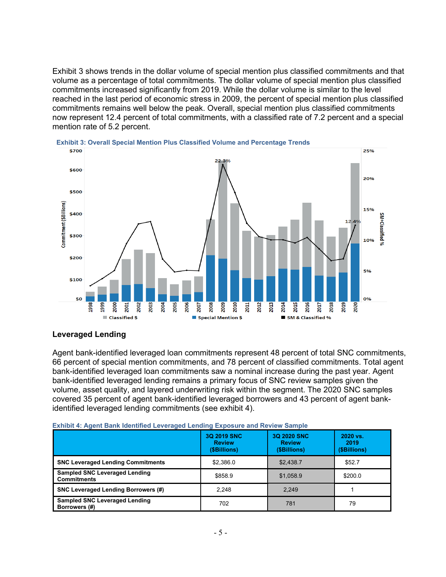Exhibit 3 shows trends in the dollar volume of special mention plus classified commitments and that volume as a percentage of total commitments. The dollar volume of special mention plus classified commitments increased significantly from 2019. While the dollar volume is similar to the level reached in the last period of economic stress in 2009, the percent of special mention plus classified commitments remains well below the peak. Overall, special mention plus classified commitments now represent 12.4 percent of total commitments, with a classified rate of 7.2 percent and a special mention rate of 5.2 percent.



#### **Leveraged Lending**

Agent bank-identified leveraged loan commitments represent 48 percent of total SNC commitments, 66 percent of special mention commitments, and 78 percent of classified commitments. Total agent bank-identified leveraged loan commitments saw a nominal increase during the past year. Agent bank-identified leveraged lending remains a primary focus of SNC review samples given the volume, asset quality, and layered underwriting risk within the segment. The 2020 SNC samples covered 35 percent of agent bank-identified leveraged borrowers and 43 percent of agent bankidentified leveraged lending commitments (see exhibit 4).

|                                                            | 3Q 2019 SNC<br><b>Review</b><br>(\$Billions) | 3Q 2020 SNC<br><b>Review</b><br>(\$Billions) | 2020 vs.<br>2019<br>(\$Billions) |
|------------------------------------------------------------|----------------------------------------------|----------------------------------------------|----------------------------------|
| <b>SNC Leveraged Lending Commitments</b>                   | \$2.386.0                                    | \$2.438.7                                    | \$52.7                           |
| <b>Sampled SNC Leveraged Lending</b><br><b>Commitments</b> | \$858.9                                      | \$1,058.9                                    | \$200.0                          |
| <b>SNC Leveraged Lending Borrowers (#)</b>                 | 2,248                                        | 2.249                                        |                                  |
| <b>Sampled SNC Leveraged Lending</b><br>Borrowers (#)      | 702                                          | 781                                          | 79                               |

| <b>Exhibit 4: Agent Bank Identified Leveraged Lending Exposure and Review Sample</b> |  |  |  |  |
|--------------------------------------------------------------------------------------|--|--|--|--|
|                                                                                      |  |  |  |  |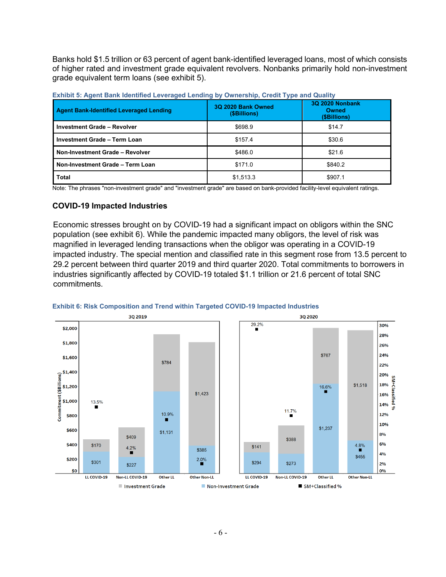Banks hold \$1.5 trillion or 63 percent of agent bank-identified leveraged loans, most of which consists of higher rated and investment grade equivalent revolvers. Nonbanks primarily hold non-investment grade equivalent term loans (see exhibit 5).

| <b>Agent Bank-Identified Leveraged Lending</b> | 3Q 2020 Bank Owned<br>(\$Billions) | <b>3Q 2020 Nonbank</b><br><b>Owned</b><br>(\$Billions) |
|------------------------------------------------|------------------------------------|--------------------------------------------------------|
| <b>Investment Grade - Revolver</b>             | \$698.9                            | \$14.7                                                 |
| Investment Grade - Term Loan                   | \$157.4                            | \$30.6                                                 |
| Non-Investment Grade - Revolver                | \$486.0                            | \$21.6                                                 |
| Non-Investment Grade - Term Loan               | \$171.0                            | \$840.2                                                |
| Total                                          | \$1,513.3                          | \$907.1                                                |

**Exhibit 5: Agent Bank Identified Leveraged Lending by Ownership, Credit Type and Quality** 

Note: The phrases "non-investment grade" and "investment grade" are based on bank-provided facility-level equivalent ratings.

#### <span id="page-6-0"></span>**COVID-19 Impacted Industries**

Economic stresses brought on by COVID-19 had a significant impact on obligors within the SNC population (see exhibit 6). While the pandemic impacted many obligors, the level of risk was magnified in leveraged lending transactions when the obligor was operating in a COVID-19 impacted industry. The special mention and classified rate in this segment rose from 13.5 percent to 29.2 percent between third quarter 2019 and third quarter 2020. Total commitments to borrowers in industries significantly affected by COVID-19 totaled \$1.1 trillion or 21.6 percent of total SNC commitments.



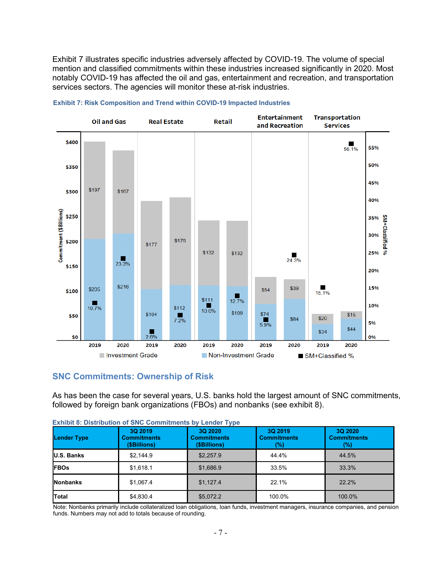Exhibit 7 illustrates specific industries adversely affected by COVID-19. The volume of special mention and classified commitments within these industries increased significantly in 2020. Most notably COVID-19 has affected the oil and gas, entertainment and recreation, and transportation services sectors. The agencies will monitor these at-risk industries.





### **SNC Commitments: Ownership of Risk**

As has been the case for several years, U.S. banks hold the largest amount of SNC commitments, followed by foreign bank organizations (FBOs) and nonbanks (see exhibit 8).

| <b>Lender Type</b> | 3Q 2019<br><b>Commitments</b><br>(\$Billions) | 3Q 2020<br><b>Commitments</b><br>(\$Billions) | 3Q 2019<br><b>Commitments</b><br>(%) | 3Q 2020<br><b>Commitments</b><br>(%) |
|--------------------|-----------------------------------------------|-----------------------------------------------|--------------------------------------|--------------------------------------|
| <b>U.S. Banks</b>  | \$2.144.9                                     | \$2.257.9                                     | 44.4%                                | 44.5%                                |
| <b>FBOs</b>        | \$1.618.1                                     | \$1,686.9                                     | 33.5%                                | 33.3%                                |
| <b>Nonbanks</b>    | \$1,067.4                                     | \$1,127.4                                     | 22.1%                                | 22.2%                                |
| <b>Total</b>       | \$4,830.4                                     | \$5,072.2                                     | 100.0%                               | 100.0%                               |

|  | <b>Exhibit 8: Distribution of SNC Commitments by Lender Type</b> |  |  |
|--|------------------------------------------------------------------|--|--|
|  |                                                                  |  |  |

Note: Nonbanks primarily include collateralized loan obligations, loan funds, investment managers, insurance companies, and pension funds. Numbers may not add to totals because of rounding.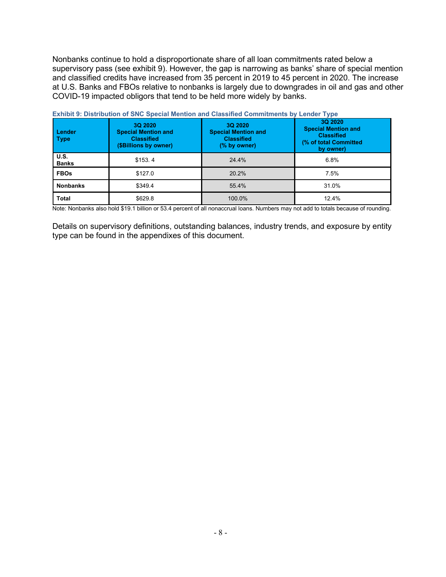Nonbanks continue to hold a disproportionate share of all loan commitments rated below a supervisory pass (see exhibit 9). However, the gap is narrowing as banks' share of special mention and classified credits have increased from 35 percent in 2019 to 45 percent in 2020. The increase at U.S. Banks and FBOs relative to nonbanks is largely due to downgrades in oil and gas and other COVID-19 impacted obligors that tend to be held more widely by banks.

| <b>Lender</b><br><b>Type</b> | 3Q 2020<br><b>Special Mention and</b><br><b>Classified</b><br>(\$Billions by owner) | <u>EXHIDICA: DISCHDULON OF ONO ODGCIAL MIGHLION AND ORGGINGO ODININIUMENTS DY EGNOGL TYPG</u><br>3Q 2020<br><b>Special Mention and</b><br><b>Classified</b><br>(% by owner) | 3Q 2020<br><b>Special Mention and</b><br><b>Classified</b><br>(% of total Committed<br>by owner) |
|------------------------------|-------------------------------------------------------------------------------------|-----------------------------------------------------------------------------------------------------------------------------------------------------------------------------|--------------------------------------------------------------------------------------------------|
| U.S.<br><b>Banks</b>         | \$153.4                                                                             | 24.4%                                                                                                                                                                       | 6.8%                                                                                             |
| <b>FBOs</b>                  | \$127.0                                                                             | 20.2%                                                                                                                                                                       | 7.5%                                                                                             |
| <b>Nonbanks</b>              | \$349.4                                                                             | 55.4%                                                                                                                                                                       | 31.0%                                                                                            |
| <b>Total</b>                 | \$629.8                                                                             | 100.0%                                                                                                                                                                      | 12.4%                                                                                            |

**Exhibit 9: Distribution of SNC Special Mention and Classified Commitments by Lender Type**

Note: Nonbanks also hold \$19.1 billion or 53.4 percent of all nonaccrual loans. Numbers may not add to totals because of rounding.

Details on supervisory definitions, outstanding balances, industry trends, and exposure by entity type can be found in the appendixes of this document.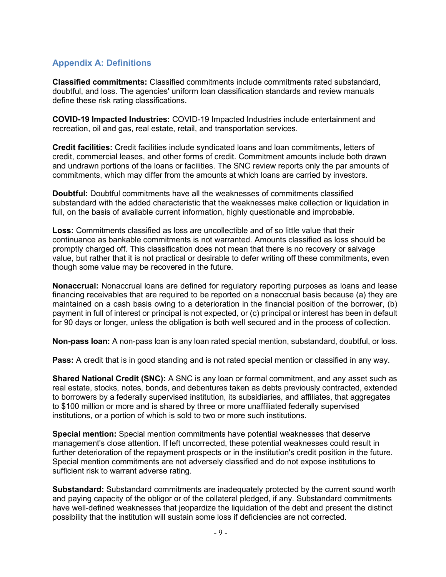## <span id="page-9-0"></span>**Appendix A: Definitions**

**Classified commitments:** Classified commitments include commitments rated substandard, doubtful, and loss. The agencies' uniform loan classification standards and review manuals define these risk rating classifications.

**COVID-19 Impacted Industries:** COVID-19 Impacted Industries include entertainment and recreation, oil and gas, real estate, retail, and transportation services.

**Credit facilities:** Credit facilities include syndicated loans and loan commitments, letters of credit, commercial leases, and other forms of credit. Commitment amounts include both drawn and undrawn portions of the loans or facilities. The SNC review reports only the par amounts of commitments, which may differ from the amounts at which loans are carried by investors.

**Doubtful:** Doubtful commitments have all the weaknesses of commitments classified substandard with the added characteristic that the weaknesses make collection or liquidation in full, on the basis of available current information, highly questionable and improbable.

**Loss:** Commitments classified as loss are uncollectible and of so little value that their continuance as bankable commitments is not warranted. Amounts classified as loss should be promptly charged off. This classification does not mean that there is no recovery or salvage value, but rather that it is not practical or desirable to defer writing off these commitments, even though some value may be recovered in the future.

**Nonaccrual:** Nonaccrual loans are defined for regulatory reporting purposes as loans and lease financing receivables that are required to be reported on a nonaccrual basis because (a) they are maintained on a cash basis owing to a deterioration in the financial position of the borrower, (b) payment in full of interest or principal is not expected, or (c) principal or interest has been in default for 90 days or longer, unless the obligation is both well secured and in the process of collection.

**Non-pass loan:** A non-pass loan is any loan rated special mention, substandard, doubtful, or loss.

**Pass:** A credit that is in good standing and is not rated special mention or classified in any way.

**Shared National Credit (SNC):** A SNC is any loan or formal commitment, and any asset such as real estate, stocks, notes, bonds, and debentures taken as debts previously contracted, extended to borrowers by a federally supervised institution, its subsidiaries, and affiliates, that aggregates to \$100 million or more and is shared by three or more unaffiliated federally supervised institutions, or a portion of which is sold to two or more such institutions.

**Special mention:** Special mention commitments have potential weaknesses that deserve management's close attention. If left uncorrected, these potential weaknesses could result in further deterioration of the repayment prospects or in the institution's credit position in the future. Special mention commitments are not adversely classified and do not expose institutions to sufficient risk to warrant adverse rating.

**Substandard:** Substandard commitments are inadequately protected by the current sound worth and paying capacity of the obligor or of the collateral pledged, if any. Substandard commitments have well-defined weaknesses that jeopardize the liquidation of the debt and present the distinct possibility that the institution will sustain some loss if deficiencies are not corrected.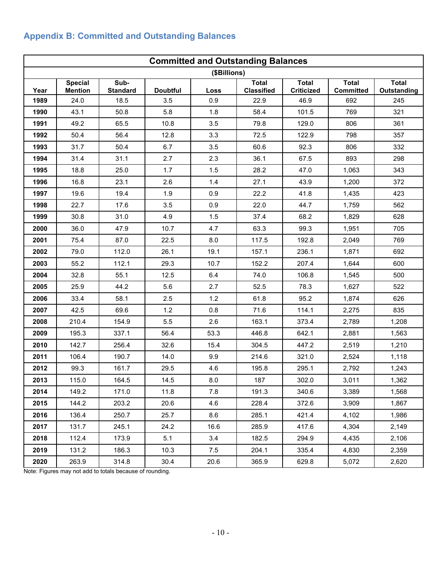## <span id="page-10-0"></span>**Appendix B: Committed and Outstanding Balances**

|      | <b>Committed and Outstanding Balances</b> |                         |                 |              |                                   |                            |                                  |                             |  |  |  |  |  |
|------|-------------------------------------------|-------------------------|-----------------|--------------|-----------------------------------|----------------------------|----------------------------------|-----------------------------|--|--|--|--|--|
|      |                                           |                         |                 | (\$Billions) |                                   |                            |                                  |                             |  |  |  |  |  |
| Year | <b>Special</b><br><b>Mention</b>          | Sub-<br><b>Standard</b> | <b>Doubtful</b> | Loss         | <b>Total</b><br><b>Classified</b> | <b>Total</b><br>Criticized | <b>Total</b><br><b>Committed</b> | <b>Total</b><br>Outstanding |  |  |  |  |  |
| 1989 | 24.0                                      | 18.5                    | 3.5             | 0.9          | 22.9                              | 46.9                       | 692                              | 245                         |  |  |  |  |  |
| 1990 | 43.1                                      | 50.8                    | 5.8             | 1.8          | 58.4                              | 101.5                      | 769                              | 321                         |  |  |  |  |  |
| 1991 | 49.2                                      | 65.5                    | 10.8            | 3.5          | 79.8                              | 129.0                      | 806                              | 361                         |  |  |  |  |  |
| 1992 | 50.4                                      | 56.4                    | 12.8            | 3.3          | 72.5                              | 122.9                      | 798                              | 357                         |  |  |  |  |  |
| 1993 | 31.7                                      | 50.4                    | 6.7             | 3.5          | 60.6                              | 92.3                       | 806                              | 332                         |  |  |  |  |  |
| 1994 | 31.4                                      | 31.1                    | 2.7             | 2.3          | 36.1                              | 67.5                       | 893                              | 298                         |  |  |  |  |  |
| 1995 | 18.8                                      | 25.0                    | 1.7             | 1.5          | 28.2                              | 47.0                       | 1,063                            | 343                         |  |  |  |  |  |
| 1996 | 16.8                                      | 23.1                    | 2.6             | 1.4          | 27.1                              | 43.9                       | 1,200                            | 372                         |  |  |  |  |  |
| 1997 | 19.6                                      | 19.4                    | 1.9             | 0.9          | 22.2                              | 41.8                       | 1,435                            | 423                         |  |  |  |  |  |
| 1998 | 22.7                                      | 17.6                    | 3.5             | 0.9          | 22.0                              | 44.7                       | 1,759                            | 562                         |  |  |  |  |  |
| 1999 | 30.8                                      | 31.0                    | 4.9             | 1.5          | 37.4                              | 68.2                       | 1,829                            | 628                         |  |  |  |  |  |
| 2000 | 36.0                                      | 47.9                    | 10.7            | 4.7          | 63.3                              | 99.3                       | 1,951                            | 705                         |  |  |  |  |  |
| 2001 | 75.4                                      | 87.0                    | 22.5            | 8.0          | 117.5                             | 192.8                      | 2,049                            | 769                         |  |  |  |  |  |
| 2002 | 79.0                                      | 112.0                   | 26.1            | 19.1         | 157.1                             | 236.1                      | 1,871                            | 692                         |  |  |  |  |  |
| 2003 | 55.2                                      | 112.1                   | 29.3            | 10.7         | 152.2                             | 207.4                      | 1,644                            | 600                         |  |  |  |  |  |
| 2004 | 32.8                                      | 55.1                    | 12.5            | 6.4          | 74.0                              | 106.8                      | 1,545                            | 500                         |  |  |  |  |  |
| 2005 | 25.9                                      | 44.2                    | 5.6             | 2.7          | 52.5                              | 78.3                       | 1,627                            | 522                         |  |  |  |  |  |
| 2006 | 33.4                                      | 58.1                    | 2.5             | 1.2          | 61.8                              | 95.2                       | 1,874                            | 626                         |  |  |  |  |  |
| 2007 | 42.5                                      | 69.6                    | 1.2             | 0.8          | 71.6                              | 114.1                      | 2,275                            | 835                         |  |  |  |  |  |
| 2008 | 210.4                                     | 154.9                   | 5.5             | 2.6          | 163.1                             | 373.4                      | 2,789                            | 1,208                       |  |  |  |  |  |
| 2009 | 195.3                                     | 337.1                   | 56.4            | 53.3         | 446.8                             | 642.1                      | 2,881                            | 1,563                       |  |  |  |  |  |
| 2010 | 142.7                                     | 256.4                   | 32.6            | 15.4         | 304.5                             | 447.2                      | 2,519                            | 1,210                       |  |  |  |  |  |
| 2011 | 106.4                                     | 190.7                   | 14.0            | 9.9          | 214.6                             | 321.0                      | 2,524                            | 1,118                       |  |  |  |  |  |
| 2012 | 99.3                                      | 161.7                   | 29.5            | 4.6          | 195.8                             | 295.1                      | 2,792                            | 1,243                       |  |  |  |  |  |
| 2013 | 115.0                                     | 164.5                   | 14.5            | 8.0          | 187                               | 302.0                      | 3,011                            | 1,362                       |  |  |  |  |  |
| 2014 | 149.2                                     | 171.0                   | 11.8            | 7.8          | 191.3                             | 340.6                      | 3,389                            | 1,568                       |  |  |  |  |  |
| 2015 | 144.2                                     | 203.2                   | 20.6            | 4.6          | 228.4                             | 372.6                      | 3,909                            | 1,867                       |  |  |  |  |  |
| 2016 | 136.4                                     | 250.7                   | 25.7            | 8.6          | 285.1                             | 421.4                      | 4,102                            | 1,986                       |  |  |  |  |  |
| 2017 | 131.7                                     | 245.1                   | 24.2            | 16.6         | 285.9                             | 417.6                      | 4,304                            | 2,149                       |  |  |  |  |  |
| 2018 | 112.4                                     | 173.9                   | 5.1             | 3.4          | 182.5                             | 294.9                      | 4,435                            | 2,106                       |  |  |  |  |  |
| 2019 | 131.2                                     | 186.3                   | 10.3            | 7.5          | 204.1                             | 335.4                      | 4,830                            | 2,359                       |  |  |  |  |  |
| 2020 | 263.9                                     | 314.8                   | 30.4            | 20.6         | 365.9                             | 629.8                      | 5,072                            | 2,620                       |  |  |  |  |  |

Note: Figures may not add to totals because of rounding.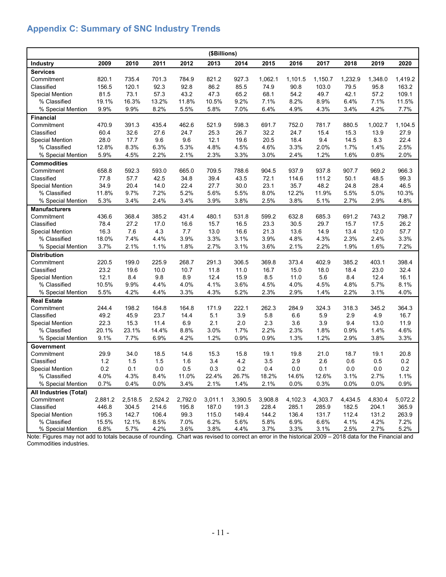## <span id="page-11-0"></span>**Appendix C: Summary of SNC Industry Trends**

| (\$Billions)           |         |         |         |               |         |         |               |         |               |              |         |              |
|------------------------|---------|---------|---------|---------------|---------|---------|---------------|---------|---------------|--------------|---------|--------------|
| Industry               | 2009    | 2010    | 2011    | 2012          | 2013    | 2014    | 2015          | 2016    | 2017          | 2018         | 2019    | 2020         |
| <b>Services</b>        |         |         |         |               |         |         |               |         |               |              |         |              |
| Commitment             | 820.1   | 735.4   | 701.3   | 784.9         | 821.2   | 927.3   | 1,062.1       | 1,101.5 | 1,150.7       | 1,232.9      | 1,348.0 | 1,419.2      |
| Classified             | 156.5   | 120.1   | 92.3    | 92.8          | 86.2    | 85.5    | 74.9          | 90.8    | 103.0         | 79.5         | 95.8    | 163.2        |
| <b>Special Mention</b> | 81.5    | 73.1    | 57.3    | 43.2          | 47.3    | 65.2    | 68.1          | 54.2    | 49.7          | 42.1         | 57.2    | 109.1        |
| % Classified           | 19.1%   | 16.3%   | 13.2%   | 11.8%         | 10.5%   | 9.2%    | 7.1%          | 8.2%    | 8.9%          | 6.4%         | 7.1%    | 11.5%        |
| % Special Mention      | 9.9%    | 9.9%    | 8.2%    | 5.5%          | 5.8%    | 7.0%    | 6.4%          | 4.9%    | 4.3%          | 3.4%         | 4.2%    | 7.7%         |
| <b>Financial</b>       |         |         |         |               |         |         |               |         |               |              |         |              |
| Commitment             | 470.9   | 391.3   | 435.4   | 462.6         | 521.9   | 598.3   | 691.7         | 752.0   | 781.7         | 880.5        | 1,002.7 | 1,104.5      |
| Classified             | 60.4    | 32.6    | 27.6    | 24.7          | 25.3    | 26.7    | 32.2          | 24.7    | 15.4          | 15.3         | 13.9    | 27.9         |
| <b>Special Mention</b> | 28.0    | 17.7    | 9.6     | 9.6           | 12.1    | 19.6    | 20.5          | 18.4    | 9.4           | 14.5         | 8.3     | 22.4         |
| % Classified           | 12.8%   | 8.3%    | 6.3%    | 5.3%          | 4.8%    | 4.5%    | 4.6%          | 3.3%    | 2.0%          | 1.7%         | 1.4%    | 2.5%         |
| % Special Mention      | 5.9%    | 4.5%    | 2.2%    | 2.1%          | 2.3%    | 3.3%    | 3.0%          | 2.4%    | 1.2%          | 1.6%         | 0.8%    | 2.0%         |
| <b>Commodities</b>     |         |         |         |               |         |         |               |         |               |              |         |              |
| Commitment             | 658.8   | 592.3   | 593.0   | 665.0         | 709.5   | 788.6   | 904.5         | 937.9   | 937.8         | 907.7        | 969.2   | 966.3        |
| Classified             | 77.8    | 57.7    | 42.5    | 34.8          | 39.4    | 43.5    | 72.1          | 114.6   | 111.2         | 50.1         | 48.5    | 99.3         |
| <b>Special Mention</b> | 34.9    | 20.4    | 14.0    | 22.4          | 27.7    | 30.0    | 23.1          | 35.7    | 48.2          | 24.8         | 28.4    | 46.5         |
| % Classified           | 11.8%   | 9.7%    | 7.2%    | 5.2%          | 5.6%    | 5.5%    | 8.0%          | 12.2%   | 11.9%         | 5.5%         | 5.0%    | 10.3%        |
| % Special Mention      | 5.3%    | 3.4%    | 2.4%    | 3.4%          | 3.9%    | 3.8%    | 2.5%          | 3.8%    | 5.1%          | 2.7%         | 2.9%    | 4.8%         |
| <b>Manufacturers</b>   |         |         |         |               |         |         |               |         |               |              |         |              |
| Commitment             | 436.6   | 368.4   | 385.2   | 431.4         | 480.1   | 531.8   | 599.2         | 632.8   | 685.3         | 691.2        | 743.2   | 798.7        |
| Classified             | 78.4    | 27.2    | 17.0    | 16.6          | 15.7    | 16.5    | 23.3          | 30.5    | 29.7          | 15.7         | 17.5    | 26.2         |
| <b>Special Mention</b> | 16.3    | 7.6     | 4.3     | 7.7           | 13.0    | 16.6    | 21.3          | 13.6    | 14.9          | 13.4         | 12.0    | 57.7         |
| % Classified           | 18.0%   | 7.4%    | 4.4%    | 3.9%          | 3.3%    | 3.1%    | 3.9%          | 4.8%    | 4.3%          | 2.3%         | 2.4%    | 3.3%         |
| % Special Mention      | 3.7%    | 2.1%    | 1.1%    | 1.8%          | 2.7%    | 3.1%    | 3.6%          | 2.1%    | 2.2%          | 1.9%         | 1.6%    | 7.2%         |
| <b>Distribution</b>    |         |         |         |               |         |         |               |         |               |              |         |              |
| Commitment             | 220.5   | 199.0   | 225.9   | 268.7         | 291.3   | 306.5   | 369.8         | 373.4   | 402.9         | 385.2        | 403.1   | 398.4        |
| Classified             | 23.2    | 19.6    | 10.0    | 10.7          | 11.8    | 11.0    | 16.7          | 15.0    | 18.0          | 18.4         | 23.0    | 32.4         |
| <b>Special Mention</b> | 12.1    | 8.4     | 9.8     | 8.9           | 12.4    | 15.9    | 8.5           | 11.0    | 5.6           | 8.4          | 12.4    | 16.1         |
| % Classified           | 10.5%   | 9.9%    | 4.4%    | 4.0%          | 4.1%    | 3.6%    | 4.5%          | 4.0%    | 4.5%          | 4.8%         | 5.7%    | 8.1%         |
| % Special Mention      | 5.5%    | 4.2%    | 4.4%    | 3.3%          | 4.3%    | 5.2%    | 2.3%          | 2.9%    | 1.4%          | 2.2%         | 3.1%    | 4.0%         |
| <b>Real Estate</b>     |         |         |         |               |         |         |               |         |               |              |         |              |
| Commitment             | 244.4   | 198.2   | 164.8   | 164.8         | 171.9   | 222.1   | 262.3         | 284.9   | 324.3         | 318.3        | 345.2   | 364.3        |
| Classified             | 49.2    | 45.9    | 23.7    | 14.4          | 5.1     | 3.9     | 5.8           | 6.6     | 5.9           | 2.9          | 4.9     | 16.7         |
| <b>Special Mention</b> | 22.3    | 15.3    | 11.4    | 6.9           | 2.1     | 2.0     | 2.3           | 3.6     | 3.9           | 9.4          | 13.0    | 11.9         |
| % Classified           | 20.1%   | 23.1%   | 14.4%   | 8.8%          | 3.0%    | 1.7%    | 2.2%          | 2.3%    | 1.8%          | 0.9%         | 1.4%    | 4.6%         |
| % Special Mention      | 9.1%    | 7.7%    | 6.9%    | 4.2%          | 1.2%    | 0.9%    | 0.9%          | 1.3%    | 1.2%          | 2.9%         | 3.8%    | 3.3%         |
| Government             |         |         |         |               |         |         |               |         |               |              |         |              |
| Commitment             | 29.9    | 34.0    | 18.5    | 14.6          | 15.3    | 15.8    | 19.1          | 19.8    | 21.0          | 18.7         | 19.1    | 20.8         |
| Classified             | 1.2     | 1.5     | 1.5     | 1.6           | 3.4     | 4.2     | 3.5           | 2.9     | 2.6           | 0.6          | 0.5     | 0.2          |
| <b>Special Mention</b> | 0.2     | 0.1     | 0.0     | 0.5           | 0.3     | 0.2     | 0.4           | 0.0     | 0.1           | 0.0          | 0.0     | 0.2          |
| % Classified           | 4.0%    | 4.3%    | 8.4%    |               | 22.4%   | 26.7%   |               | 14.6%   |               |              | 2.7%    |              |
| % Special Mention      | 0.7%    | 0.4%    | 0.0%    | 11.0%<br>3.4% | 2.1%    |         | 18.2%<br>2.1% | 0.0%    | 12.6%<br>0.3% | 3.1%<br>0.0% | 0.0%    | 1.1%<br>0.9% |
|                        |         |         |         |               |         | 1.4%    |               |         |               |              |         |              |
| All Industries (Total) |         |         |         |               |         |         |               |         |               |              |         |              |
| Commitment             | 2,881.2 | 2,518.5 | 2,524.2 | 2,792.0       | 3,011.1 | 3,390.5 | 3,908.8       | 4,102.3 | 4,303.7       | 4,434.5      | 4,830.4 | 5,072.2      |
| Classified             | 446.8   | 304.5   | 214.6   | 195.8         | 187.0   | 191.3   | 228.4         | 285.1   | 285.9         | 182.5        | 204.1   | 365.9        |
| <b>Special Mention</b> | 195.3   | 142.7   | 106.4   | 99.3          | 115.0   | 149.4   | 144.2         | 136.4   | 131.7         | 112.4        | 131.2   | 263.9        |
| % Classified           | 15.5%   | 12.1%   | 8.5%    | 7.0%          | 6.2%    | 5.6%    | 5.8%          | 6.9%    | 6.6%          | 4.1%         | 4.2%    | 7.2%         |
| % Special Mention      | 6.8%    | 5.7%    | 4.2%    | 3.6%          | 3.8%    | 4.4%    | 3.7%          | 3.3%    | 3.1%          | 2.5%         | 2.7%    | 5.2%         |

Note: Figures may not add to totals because of rounding. Chart was revised to correct an error in the historical 2009 – 2018 data for the Financial and Commodities industries.